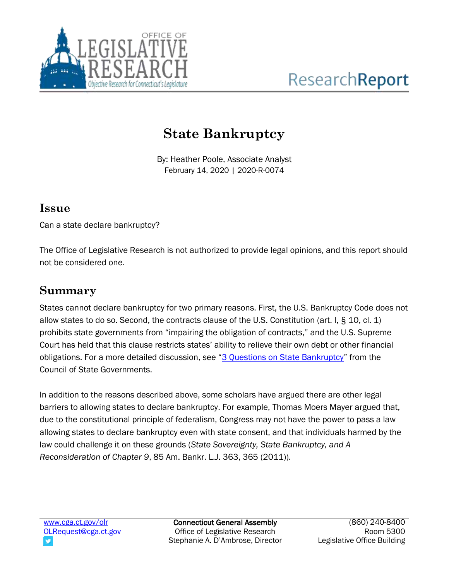

# **State Bankruptcy**

By: Heather Poole, Associate Analyst February 14, 2020 | 2020-R-0074

#### **Issue**

Can a state declare bankruptcy?

The Office of Legislative Research is not authorized to provide legal opinions, and this report should not be considered one.

### **Summary**

States cannot declare bankruptcy for two primary reasons. First, the U.S. Bankruptcy Code does not allow states to do so. Second, the contracts clause of the U.S. Constitution (art. I, § 10, cl. 1) prohibits state governments from "impairing the obligation of contracts," and the U.S. Supreme Court has held that this clause restricts states' ability to relieve their own debt or other financial obligations. For a more detailed discussion, see "[3 Questions on State Bankruptcy](https://www.csg.org/pubs/capitolideas/enews/issue65_3.aspx)" from the Council of State Governments.

In addition to the reasons described above, some scholars have argued there are other legal barriers to allowing states to declare bankruptcy. For example, Thomas Moers Mayer argued that, due to the constitutional principle of federalism, Congress may not have the power to pass a law allowing states to declare bankruptcy even with state consent, and that individuals harmed by the law could challenge it on these grounds (*State Sovereignty, State Bankruptcy, and A Reconsideration of Chapter 9*, 85 Am. Bankr. L.J. 363, 365 (2011)).

Connecticut General Assembly Office of Legislative Research Stephanie A. D'Ambrose, Director